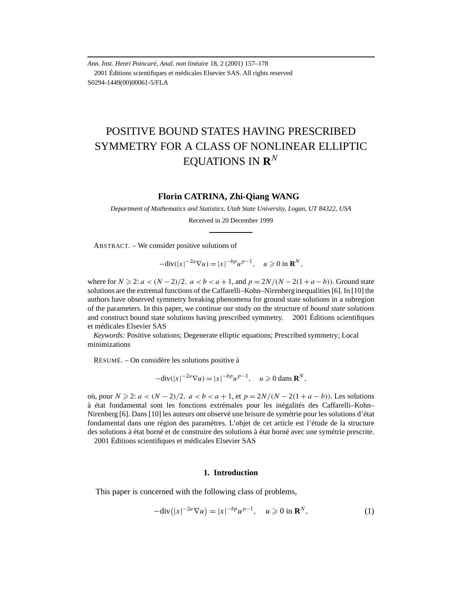*Ann. Inst. Henri Poincaré, Anal. non linéaire* 18, 2 (2001) 157–178 2001 Éditions scientifiques et médicales Elsevier SAS. All rights reserved S0294-1449(00)00061-5/FLA

# POSITIVE BOUND STATES HAVING PRESCRIBED SYMMETRY FOR A CLASS OF NONLINEAR ELLIPTIC EQUATIONS IN **R***<sup>N</sup>*

# **Florin CATRINA, Zhi-Qiang WANG**

*Department of Mathematics and Statistics, Utah State University, Logan, UT 84322, USA*

Received in 20 December 1999

ABSTRACT. – We consider positive solutions of

$$
-\text{div}(|x|^{-2a}\nabla u) = |x|^{-bp}u^{p-1}, \quad u \geq 0 \text{ in } \mathbf{R}^N,
$$

where for  $N \geq 2$ :  $a < (N-2)/2$ ,  $a < b < a+1$ , and  $p = 2N/(N-2(1+a-b))$ . Ground state solutions are the extremal functions of the Caffarelli–Kohn–Nirenberg inequalities [6]. In [10] the authors have observed symmetry breaking phenomena for ground state solutions in a subregion of the parameters. In this paper, we continue our study on the structure of *bound state solutions* and construct bound state solutions having prescribed symmetry.  $\circ$  2001 Éditions scientifiques et médicales Elsevier SAS

*Keywords:* Positive solutions; Degenerate elliptic equations; Prescribed symmetry; Local minimizations

RÉSUMÉ. – On considère les solutions positive à

$$
-\text{div}(|x|^{-2a}\nabla u) = |x|^{-bp}u^{p-1}, \quad u \geq 0 \text{ dans } \mathbf{R}^N,
$$

où, pour *N* ≥ 2: *a* <  $(N-2)/2$ , *a* <  $b < a+1$ , et  $p = 2N/(N-2(1+a-b))$ . Les solutions à état fondamental sont les fonctions extrémales pour les inégalités des Caffarelli–Kohn– Nirenberg [6]. Dans [10] les auteurs ont observé une brisure de symétrie pour les solutions d'état fondamental dans une région des paramètres. L'objet de cet article est l'étude de la structure des solutions à état borné et de construire des solutions à état borné avec une symétrie prescrite. 2001 Éditions scientifiques et médicales Elsevier SAS

#### **1. Introduction**

This paper is concerned with the following class of problems,

$$
-\text{div}\left(|x|^{-2a}\nabla u\right) = |x|^{-bp}u^{p-1}, \quad u \ge 0 \text{ in } \mathbf{R}^N,\tag{1}
$$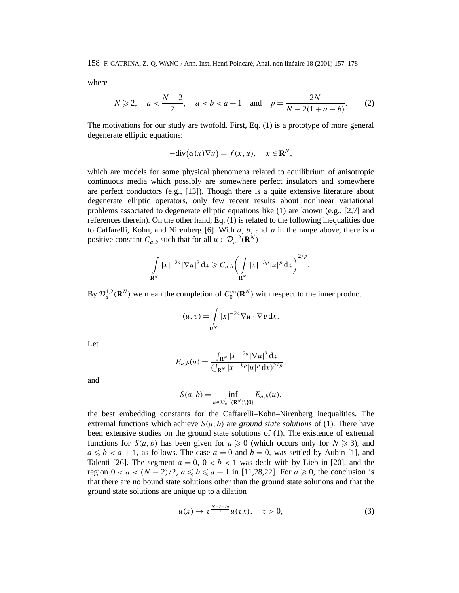where

$$
N \geq 2, \quad a < \frac{N-2}{2}, \quad a < b < a+1 \quad \text{and} \quad p = \frac{2N}{N-2(1+a-b)}. \tag{2}
$$

The motivations for our study are twofold. First, Eq. (1) is a prototype of more general degenerate elliptic equations:

$$
-\text{div}(\alpha(x)\nabla u) = f(x, u), \quad x \in \mathbf{R}^N,
$$

which are models for some physical phenomena related to equilibrium of anisotropic continuous media which possibly are somewhere perfect insulators and somewhere are perfect conductors (e.g., [13]). Though there is a quite extensive literature about degenerate elliptic operators, only few recent results about nonlinear variational problems associated to degenerate elliptic equations like  $(1)$  are known  $(e.g., [2,7]$  and references therein). On the other hand, Eq. (1) is related to the following inequalities due to Caffarelli, Kohn, and Nirenberg [6]. With *a*, *b*, and *p* in the range above, there is a positive constant  $C_{a,b}$  such that for all  $u \in \mathcal{D}_a^{1,2}(\mathbf{R}^N)$ 

$$
\int_{\mathbf{R}^N} |x|^{-2a} |\nabla u|^2 \, \mathrm{d} x \geqslant C_{a,b} \bigg( \int_{\mathbf{R}^N} |x|^{-bp} |u|^p \, \mathrm{d} x \bigg)^{2/p}.
$$

By  $\mathcal{D}_a^{1,2}(\mathbf{R}^N)$  we mean the completion of  $C_0^{\infty}(\mathbf{R}^N)$  with respect to the inner product

$$
(u, v) = \int_{\mathbf{R}^N} |x|^{-2a} \nabla u \cdot \nabla v \, dx.
$$

Let

$$
E_{a,b}(u) = \frac{\int_{\mathbf{R}^N} |x|^{-2a} |\nabla u|^2 dx}{(\int_{\mathbf{R}^N} |x|^{-bp} |u|^p dx)^{2/p}},
$$

and

$$
S(a,b)=\inf_{u\in\mathcal{D}_a^{1,2}(\mathbf{R}^N)\setminus\{0\}}E_{a,b}(u),
$$

the best embedding constants for the Caffarelli–Kohn–Nirenberg inequalities. The extremal functions which achieve  $S(a, b)$  are *ground state solutions* of (1). There have been extensive studies on the ground state solutions of (1). The existence of extremal functions for  $S(a, b)$  has been given for  $a \ge 0$  (which occurs only for  $N \ge 3$ ), and  $a \le b < a + 1$ , as follows. The case  $a = 0$  and  $b = 0$ , was settled by Aubin [1], and Talenti [26]. The segment  $a = 0$ ,  $0 < b < 1$  was dealt with by Lieb in [20], and the region  $0 < a < (N-2)/2$ ,  $a \le b \le a+1$  in [11,28,22]. For  $a \ge 0$ , the conclusion is that there are no bound state solutions other than the ground state solutions and that the ground state solutions are unique up to a dilation

$$
u(x) \to \tau^{\frac{N-2-2a}{2}} u(\tau x), \quad \tau > 0,
$$
\n(3)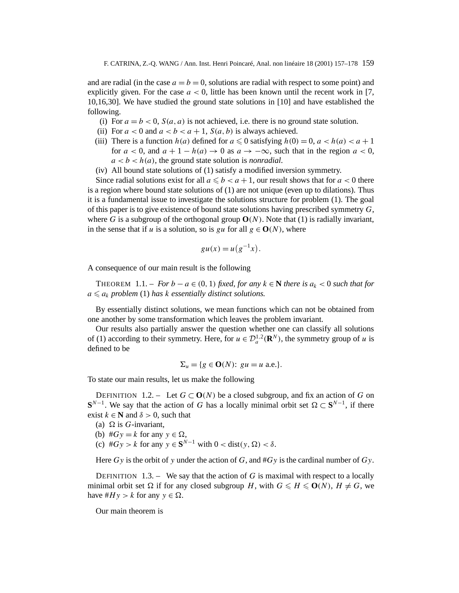and are radial (in the case  $a = b = 0$ , solutions are radial with respect to some point) and explicitly given. For the case  $a < 0$ , little has been known until the recent work in [7, 10,16,30]. We have studied the ground state solutions in [10] and have established the following.

- (i) For  $a = b < 0$ ,  $S(a, a)$  is not achieved, i.e. there is no ground state solution.
- (ii) For  $a < 0$  and  $a < b < a + 1$ ,  $S(a, b)$  is always achieved.
- (iii) There is a function  $h(a)$  defined for  $a \leq 0$  satisfying  $h(0) = 0$ ,  $a < h(a) < a + 1$ for  $a < 0$ , and  $a + 1 - h(a) \rightarrow 0$  as  $a \rightarrow -\infty$ , such that in the region  $a < 0$ ,  $a < b < h(a)$ , the ground state solution is *nonradial*.
- (iv) All bound state solutions of (1) satisfy a modified inversion symmetry.

Since radial solutions exist for all  $a \leq b < a + 1$ , our result shows that for  $a < 0$  there is a region where bound state solutions of (1) are not unique (even up to dilations). Thus it is a fundamental issue to investigate the solutions structure for problem (1). The goal of this paper is to give existence of bound state solutions having prescribed symmetry *G*, where *G* is a subgroup of the orthogonal group  $O(N)$ . Note that (1) is radially invariant, in the sense that if *u* is a solution, so is *gu* for all  $g \in O(N)$ , where

$$
gu(x) = u(g^{-1}x).
$$

A consequence of our main result is the following

THEOREM 1.1. – *For*  $b - a \in (0, 1)$  *fixed, for any*  $k \in \mathbb{N}$  *there is*  $a_k < 0$  *such that for*  $a \leq a_k$  *problem* (1) *has*  $k$  *essentially distinct solutions.* 

By essentially distinct solutions, we mean functions which can not be obtained from one another by some transformation which leaves the problem invariant.

Our results also partially answer the question whether one can classify all solutions of (1) according to their symmetry. Here, for  $u \in \mathcal{D}_a^{1,2}(\mathbf{R}^N)$ , the symmetry group of *u* is defined to be

$$
\Sigma_u = \{ g \in \mathbf{O}(N) : gu = u \text{ a.e.} \}.
$$

To state our main results, let us make the following

DEFINITION 1.2. – Let  $G \subset \mathbf{O}(N)$  be a closed subgroup, and fix an action of *G* on **S**<sup>*N*−1</sup>. We say that the action of *G* has a locally minimal orbit set  $\Omega \subset S^{N-1}$ , if there exist  $k \in \mathbb{N}$  and  $\delta > 0$ , such that

- (a)  $\Omega$  is *G*-invariant.
- (b)  $#Gy = k$  for any  $y \in \Omega$ ,
- (c)  $#Gy > k$  for any  $y \in S^{N-1}$  with  $0 < \text{dist}(y, \Omega) < \delta$ .

Here *Gy* is the orbit of *y* under the action of *G*, and #*Gy* is the cardinal number of *Gy*.

DEFINITION 1.3. – We say that the action of  $G$  is maximal with respect to a locally minimal orbit set  $\Omega$  if for any closed subgroup *H*, with  $G \le H \le O(N)$ ,  $H \ne G$ , we have  $#H y > k$  for any  $y \in \Omega$ .

Our main theorem is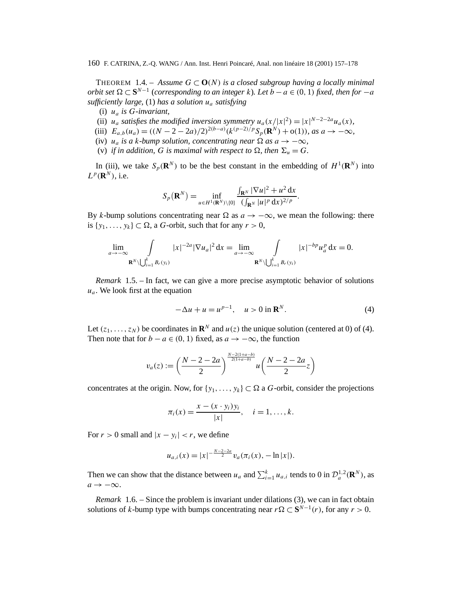THEOREM 1.4. – Assume  $G \subset O(N)$  is a closed subgroup having a locally minimal *orbit set*  $\Omega \subset \mathbf{S}^{N-1}$  (*corresponding to an integer k*)*. Let*  $b - a \in (0, 1)$  *fixed, then for*  $-a$ *sufficiently large,* (1) *has a solution ua satisfying*

- (i) *ua is G-invariant,*
- (ii)  $u_a$  *satisfies the modified inversion symmetry*  $u_a(x/|x|^2) = |x|^{N-2-2a}u_a(x)$ *,*
- (iii)  $E_{a,b}(u_a) = ((N 2 2a)/2)^{2(b-a)}(k^{(p-2)/p}S_p(\mathbf{R}^N) + o(1)),$  as  $a \to -\infty$ ,
- (iv) *u<sub>a</sub> is a k-bump solution, concentrating near*  $\Omega$  *as*  $a \rightarrow -\infty$ *,*
- (v) *if in addition,* G *is maximal with respect to*  $\Omega$ *, then*  $\Sigma_u = G$ *.*

In (iii), we take  $S_p(\mathbf{R}^N)$  to be the best constant in the embedding of  $H^1(\mathbf{R}^N)$  into  $L^p(\mathbf{R}^N)$ , i.e.

$$
S_p(\mathbf{R}^N)=\inf_{u\in H^1(\mathbf{R}^N)\setminus\{0\}}\frac{\int_{\mathbf{R}^N}|\nabla u|^2+u^2\,\mathrm{d}x}{(\int_{\mathbf{R}^N}|u|^p\,\mathrm{d}x)^{2/p}}.
$$

By *k*-bump solutions concentrating near  $\Omega$  as  $a \to -\infty$ , we mean the following: there is  $\{y_1, \ldots, y_k\} \subset \Omega$ , a *G*-orbit, such that for any  $r > 0$ ,

$$
\lim_{a \to -\infty} \int_{\mathbf{R}^N \setminus \bigcup_{i=1}^k B_r(y_i)} |x|^{-2a} |\nabla u_a|^2 dx = \lim_{a \to -\infty} \int_{\mathbf{R}^N \setminus \bigcup_{i=1}^k B_r(y_i)} |x|^{-bp} u_a^p dx = 0.
$$

*Remark* 1.5. – In fact, we can give a more precise asymptotic behavior of solutions  $u_a$ . We look first at the equation

$$
-\Delta u + u = u^{p-1}, \quad u > 0 \text{ in } \mathbf{R}^N. \tag{4}
$$

Let  $(z_1, \ldots, z_N)$  be coordinates in  $\mathbb{R}^N$  and  $u(z)$  the unique solution (centered at 0) of (4). Then note that for  $b - a \in (0, 1)$  fixed, as  $a \to -\infty$ , the function

$$
v_a(z) := \left(\frac{N-2-2a}{2}\right)^{\frac{N-2(1+a-b)}{2(1+a-b)}} u\left(\frac{N-2-2a}{2}z\right)
$$

concentrates at the origin. Now, for  $\{y_1, \ldots, y_k\} \subset \Omega$  a *G*-orbit, consider the projections

$$
\pi_i(x) = \frac{x - (x \cdot y_i)y_i}{|x|}, \quad i = 1, ..., k.
$$

For  $r > 0$  small and  $|x - y_i| < r$ , we define

$$
u_{a,i}(x) = |x|^{-\frac{N-2-2a}{2}} v_a(\pi_i(x), -\ln|x|).
$$

Then we can show that the distance between  $u_a$  and  $\sum_{i=1}^{k} u_{a,i}$  tends to 0 in  $\mathcal{D}_a^{1,2}(\mathbf{R}^N)$ , as  $a \rightarrow -\infty$ .

*Remark* 1.6. – Since the problem is invariant under dilations (3), we can in fact obtain solutions of *k*-bump type with bumps concentrating near  $r \Omega \subset \mathbf{S}^{N-1}(r)$ , for any  $r > 0$ .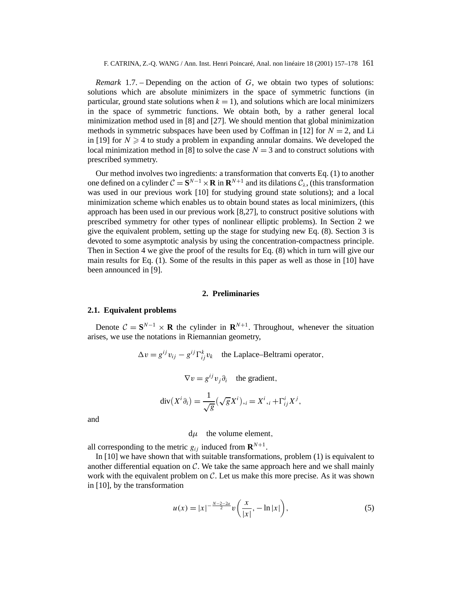*Remark* 1.7. – Depending on the action of *G*, we obtain two types of solutions: solutions which are absolute minimizers in the space of symmetric functions (in particular, ground state solutions when  $k = 1$ ), and solutions which are local minimizers in the space of symmetric functions. We obtain both, by a rather general local minimization method used in [8] and [27]. We should mention that global minimization methods in symmetric subspaces have been used by Coffman in [12] for  $N = 2$ , and Li in [19] for  $N \geq 4$  to study a problem in expanding annular domains. We developed the local minimization method in [8] to solve the case  $N = 3$  and to construct solutions with prescribed symmetry.

Our method involves two ingredients: a transformation that converts Eq. (1) to another one defined on a cylinder  $C = \mathbf{S}^{N-1} \times \mathbf{R}$  in  $\mathbf{R}^{N+1}$  and its dilations  $C_\lambda$ , (this transformation was used in our previous work [10] for studying ground state solutions); and a local minimization scheme which enables us to obtain bound states as local minimizers, (this approach has been used in our previous work [8,27], to construct positive solutions with prescribed symmetry for other types of nonlinear elliptic problems). In Section 2 we give the equivalent problem, setting up the stage for studying new Eq. (8). Section 3 is devoted to some asymptotic analysis by using the concentration-compactness principle. Then in Section 4 we give the proof of the results for Eq. (8) which in turn will give our main results for Eq. (1). Some of the results in this paper as well as those in [10] have been announced in [9].

#### **2. Preliminaries**

### **2.1. Equivalent problems**

Denote  $C = S^{N-1} \times R$  the cylinder in  $R^{N+1}$ . Throughout, whenever the situation arises, we use the notations in Riemannian geometry,

$$
\Delta v = g^{ij} v_{ij} - g^{ij} \Gamma_{ij}^k v_k
$$
 the Laplace-Beltrami operator,

$$
\nabla v = g^{ij} v_j \partial_i
$$
 the gradient,

$$
\operatorname{div}(X^i \partial_i) = \frac{1}{\sqrt{g}} (\sqrt{g} X^i)_{,i} = X^i_{,i} + \Gamma^i_{ij} X^j,
$$

and

d*µ* the volume element*,*

all corresponding to the metric  $g_{ij}$  induced from  $\mathbf{R}^{N+1}$ .

In [10] we have shown that with suitable transformations, problem (1) is equivalent to another differential equation on  $\mathcal C$ . We take the same approach here and we shall mainly work with the equivalent problem on  $\mathcal C$ . Let us make this more precise. As it was shown in [10], by the transformation

$$
u(x) = |x|^{-\frac{N-2-2a}{2}} v\left(\frac{x}{|x|}, -\ln|x|\right),\tag{5}
$$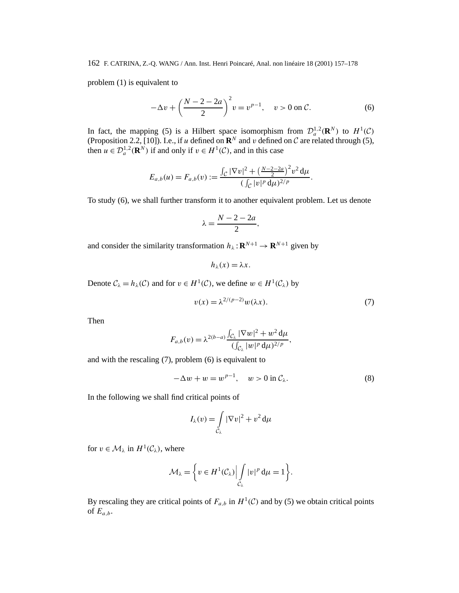problem (1) is equivalent to

$$
-\Delta v + \left(\frac{N-2-2a}{2}\right)^2 v = v^{p-1}, \quad v > 0 \text{ on } C.
$$
 (6)

In fact, the mapping (5) is a Hilbert space isomorphism from  $\mathcal{D}_a^{1,2}(\mathbf{R}^N)$  to  $H^1(\mathcal{C})$ (Proposition 2.2, [10]). I.e., if *u* defined on  $\mathbb{R}^N$  and *v* defined on C are related through (5), then  $u \in \mathcal{D}_a^{1,2}(\mathbf{R}^N)$  if and only if  $v \in H^1(\mathcal{C})$ , and in this case

$$
E_{a,b}(u) = F_{a,b}(v) := \frac{\int_{\mathcal{C}} |\nabla v|^2 + \left(\frac{N-2-2a}{2}\right)^2 v^2 d\mu}{\left(\int_{\mathcal{C}} |v|^p d\mu\right)^{2/p}}.
$$

To study (6), we shall further transform it to another equivalent problem. Let us denote

$$
\lambda = \frac{N-2-2a}{2},
$$

and consider the similarity transformation  $h_{\lambda} : \mathbf{R}^{N+1} \to \mathbf{R}^{N+1}$  given by

$$
h_{\lambda}(x)=\lambda x.
$$

Denote  $C_{\lambda} = h_{\lambda}(C)$  and for  $v \in H^1(C)$ , we define  $w \in H^1(C_{\lambda})$  by

$$
v(x) = \lambda^{2/(p-2)} w(\lambda x). \tag{7}
$$

Then

$$
F_{a,b}(v) = \lambda^{2(b-a)} \frac{\int_{\mathcal{C}_{\lambda}} |\nabla w|^2 + w^2 d\mu}{(\int_{\mathcal{C}_{\lambda}} |w|^p d\mu)^{2/p}},
$$

and with the rescaling (7), problem (6) is equivalent to

$$
-\Delta w + w = w^{p-1}, \quad w > 0 \text{ in } \mathcal{C}_{\lambda}.
$$
 (8)

In the following we shall find critical points of

$$
I_{\lambda}(v) = \int\limits_{C_{\lambda}} |\nabla v|^2 + v^2 d\mu
$$

for  $v \in M_\lambda$  in  $H^1(\mathcal{C}_\lambda)$ , where

$$
\mathcal{M}_{\lambda} = \bigg\{ v \in H^{1}(\mathcal{C}_{\lambda}) \Big| \int\limits_{\mathcal{C}_{\lambda}} |v|^{p} d\mu = 1 \bigg\}.
$$

By rescaling they are critical points of  $F_{a,b}$  in  $H^1(\mathcal{C})$  and by (5) we obtain critical points of  $E_{a,b}$ .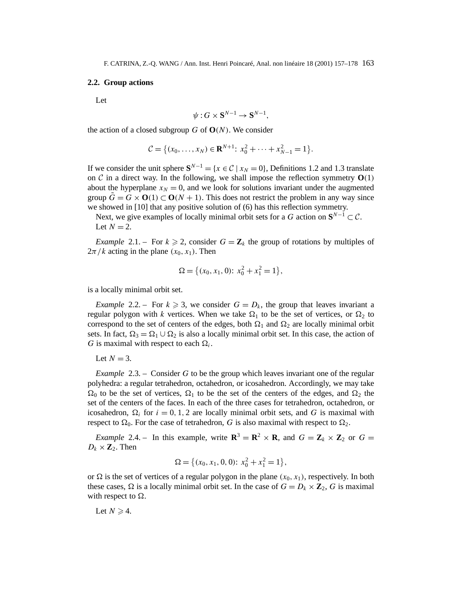# **2.2. Group actions**

Let

$$
\psi: G \times \mathbf{S}^{N-1} \to \mathbf{S}^{N-1},
$$

the action of a closed subgroup *G* of  $O(N)$ . We consider

$$
\mathcal{C} = \{ (x_0, \ldots, x_N) \in \mathbf{R}^{N+1}: x_0^2 + \cdots + x_{N-1}^2 = 1 \}.
$$

If we consider the unit sphere  $S^{N-1} = \{x \in C \mid x_N = 0\}$ , Definitions 1.2 and 1.3 translate on C in a direct way. In the following, we shall impose the reflection symmetry  $O(1)$ about the hyperplane  $x_N = 0$ , and we look for solutions invariant under the augmented group  $\tilde{G} = G \times O(1) \subset O(N + 1)$ . This does not restrict the problem in any way since we showed in [10] that any positive solution of (6) has this reflection symmetry.

Next, we give examples of locally minimal orbit sets for a *G* action on  $S^{N-1} \subset C$ . Let  $N = 2$ .

*Example* 2.1. – For  $k \ge 2$ , consider  $G = \mathbb{Z}_k$  the group of rotations by multiples of  $2\pi/k$  acting in the plane  $(x_0, x_1)$ . Then

$$
\Omega = \{ (x_0, x_1, 0): x_0^2 + x_1^2 = 1 \},\
$$

is a locally minimal orbit set.

*Example* 2.2. – For  $k \ge 3$ , we consider  $G = D_k$ , the group that leaves invariant a regular polygon with *k* vertices. When we take  $\Omega_1$  to be the set of vertices, or  $\Omega_2$  to correspond to the set of centers of the edges, both  $\Omega_1$  and  $\Omega_2$  are locally minimal orbit sets. In fact,  $\Omega_3 = \Omega_1 \cup \Omega_2$  is also a locally minimal orbit set. In this case, the action of *G* is maximal with respect to each  $\Omega_i$ .

Let  $N = 3$ .

*Example* 2.3. – Consider *G* to be the group which leaves invariant one of the regular polyhedra: a regular tetrahedron, octahedron, or icosahedron. Accordingly, we may take  $\Omega_0$  to be the set of vertices,  $\Omega_1$  to be the set of the centers of the edges, and  $\Omega_2$  the set of the centers of the faces. In each of the three cases for tetrahedron, octahedron, or icosahedron,  $\Omega_i$  for  $i = 0, 1, 2$  are locally minimal orbit sets, and G is maximal with respect to  $\Omega_0$ . For the case of tetrahedron, *G* is also maximal with respect to  $\Omega_2$ .

*Example* 2.4. – In this example, write  $\mathbb{R}^3 = \mathbb{R}^2 \times \mathbb{R}$ , and  $G = \mathbb{Z}_k \times \mathbb{Z}_2$  or  $G =$  $D_k \times \mathbb{Z}_2$ . Then

$$
\Omega = \left\{ (x_0, x_1, 0, 0) : x_0^2 + x_1^2 = 1 \right\},\
$$

or  $\Omega$  is the set of vertices of a regular polygon in the plane  $(x_0, x_1)$ , respectively. In both these cases,  $\Omega$  is a locally minimal orbit set. In the case of  $G = D_k \times \mathbb{Z}_2$ , *G* is maximal with respect to  $\Omega$ .

Let  $N \geq 4$ .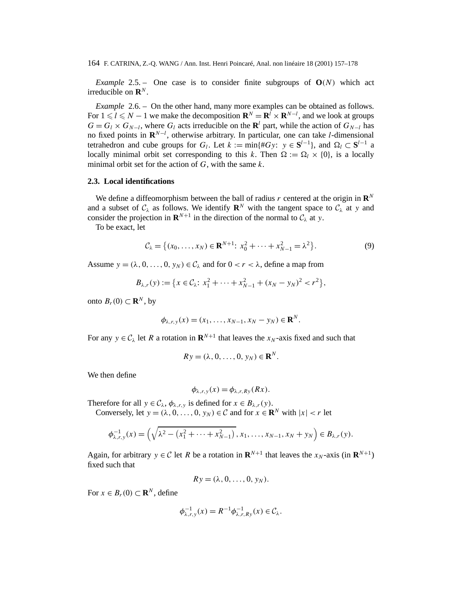*Example* 2.5. – One case is to consider finite subgroups of  $O(N)$  which act irreducible on  $\mathbf{R}^N$ 

*Example* 2.6. – On the other hand, many more examples can be obtained as follows. For  $1 \leq l \leq N - 1$  we make the decomposition  $\mathbf{R}^{N} = \mathbf{R}^{l} \times \mathbf{R}^{N-l}$ , and we look at groups  $G = G_l \times G_{N-l}$ , where  $G_l$  acts irreducible on the **R**<sup>*l*</sup> part, while the action of  $G_{N-l}$  has no fixed points in **R***<sup>N</sup>*−*<sup>l</sup>* , otherwise arbitrary. In particular, one can take *l*-dimensional tetrahedron and cube groups for *G<sub>l</sub>*. Let  $k := \min\{\#Gy: y \in S^{l-1}\}\$ , and  $\Omega_l \subset S^{l-1}$  a locally minimal orbit set corresponding to this k. Then  $\Omega := \Omega \times \{0\}$ , is a locally minimal orbit set for the action of *G*, with the same *k*.

# **2.3. Local identifications**

We define a diffeomorphism between the ball of radius  $r$  centered at the origin in  $\mathbb{R}^N$ and a subset of  $C_\lambda$  as follows. We identify  $\mathbf{R}^N$  with the tangent space to  $C_\lambda$  at *y* and consider the projection in  $\mathbf{R}^{N+1}$  in the direction of the normal to  $C_{\lambda}$  at *y*.

To be exact, let

$$
C_{\lambda} = \{ (x_0, \dots, x_N) \in \mathbf{R}^{N+1} : x_0^2 + \dots + x_{N-1}^2 = \lambda^2 \}.
$$
 (9)

Assume  $y = (\lambda, 0, \ldots, 0, y_N) \in C_\lambda$  and for  $0 < r < \lambda$ , define a map from

$$
B_{\lambda,r}(y) := \{x \in C_{\lambda}: x_1^2 + \dots + x_{N-1}^2 + (x_N - y_N)^2 < r^2\},\
$$

onto *B<sub>r</sub>*(0) ⊂ **R**<sup>*N*</sup>, by

$$
\phi_{\lambda,r,y}(x)=(x_1,\ldots,x_{N-1},x_N-y_N)\in\mathbf{R}^N.
$$

For any  $y \in C_\lambda$  let R a rotation in  $\mathbb{R}^{N+1}$  that leaves the  $x_N$ -axis fixed and such that

$$
R\mathbf{y}=(\lambda,0,\ldots,0,\mathbf{y}_N)\in\mathbf{R}^N.
$$

We then define

$$
\phi_{\lambda,r,y}(x) = \phi_{\lambda,r,Ry}(Rx).
$$

Therefore for all  $y \in C_\lambda$ ,  $\phi_{\lambda,r,y}$  is defined for  $x \in B_{\lambda,r}(y)$ .

Conversely, let  $y = (\lambda, 0, \dots, 0, y_N) \in \mathcal{C}$  and for  $x \in \mathbb{R}^N$  with  $|x| < r$  let

$$
\phi_{\lambda,r,y}^{-1}(x) = \left(\sqrt{\lambda^2 - (x_1^2 + \dots + x_{N-1}^2)}, x_1, \dots, x_{N-1}, x_N + y_N\right) \in B_{\lambda,r}(y).
$$

Again, for arbitrary  $y \in C$  let *R* be a rotation in  $\mathbf{R}^{N+1}$  that leaves the  $x_N$ -axis (in  $\mathbf{R}^{N+1}$ ) fixed such that

$$
Ry=(\lambda,0,\ldots,0,y_N).
$$

For  $x \in B_r(0) \subset \mathbf{R}^N$ , define

$$
\phi_{\lambda,r,y}^{-1}(x) = R^{-1} \phi_{\lambda,r,Ry}^{-1}(x) \in \mathcal{C}_{\lambda}.
$$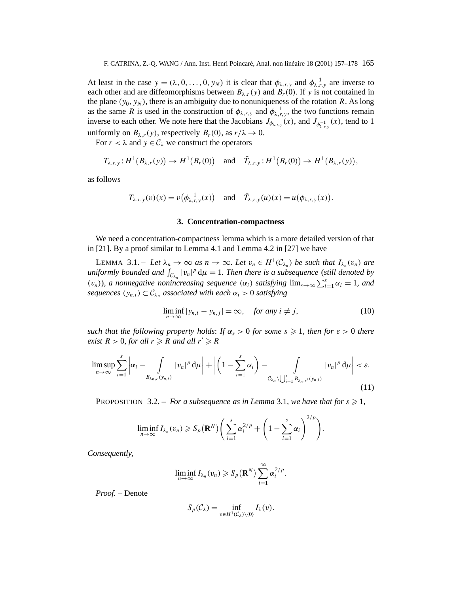At least in the case  $y = (\lambda, 0, \ldots, 0, y_N)$  it is clear that  $\phi_{\lambda,r,y}$  and  $\phi_{\lambda,r,y}^{-1}$  are inverse to each other and are diffeomorphisms between  $B_{\lambda,r}(y)$  and  $B_r(0)$ . If y is not contained in the plane  $(y_0, y_N)$ , there is an ambiguity due to nonuniqueness of the rotation *R*. As long as the same *R* is used in the construction of  $\phi_{\lambda,r,y}$  and  $\phi_{\lambda,r,y}^{-1}$ , the two functions remain inverse to each other. We note here that the Jacobians  $J_{\phi_{\lambda,r,y}}(x)$ , and  $J_{\phi_{\lambda,r,y}^{-1}}(x)$ , tend to 1 uniformly on  $B_{\lambda,r}(y)$ , respectively  $B_r(0)$ , as  $r/\lambda \to 0$ .

For  $r < \lambda$  and  $y \in C_\lambda$  we construct the operators

$$
T_{\lambda,r,y}:H^1(B_{\lambda,r}(y))\to H^1(B_r(0)) \quad \text{and} \quad \bar{T}_{\lambda,r,y}:H^1(B_r(0))\to H^1(B_{\lambda,r}(y)),
$$

as follows

$$
T_{\lambda,r,y}(v)(x) = v(\phi_{\lambda,r,y}^{-1}(x)) \quad \text{and} \quad \bar{T}_{\lambda,r,y}(u)(x) = u(\phi_{\lambda,r,y}(x)).
$$

#### **3. Concentration-compactness**

We need a concentration-compactness lemma which is a more detailed version of that in [21]. By a proof similar to Lemma 4.1 and Lemma 4.2 in [27] we have

LEMMA 3.1. – Let  $\lambda_n \to \infty$  as  $n \to \infty$ . Let  $v_n \in H^1(\mathcal{C}_{\lambda_n})$  be such that  $I_{\lambda_n}(v_n)$  are *uniformly bounded and*  $\int_{C_{\lambda_n}} |v_n|^p d\mu = 1$ . Then there is a subsequence (still denoted by *(v<sub>n</sub>)*)*, a nonnegative nonincreasing sequence*  $(\alpha_i)$  *satisfying*  $\lim_{s\to\infty}\sum_{i=1}^s\alpha_i=1$ *, and sequences*  $(y_{n,i}) \subset \mathcal{C}_{\lambda_n}$  *associated with each*  $\alpha_i > 0$  *satisfying* 

$$
\liminf_{n \to \infty} |y_{n,i} - y_{n,j}| = \infty, \quad \text{for any } i \neq j,
$$
\n(10)

*such that the following property holds: If*  $\alpha_s > 0$  *for some*  $s \geq 1$ *, then for*  $\varepsilon > 0$  *there exist*  $R > 0$ *, for all*  $r \ge R$  *and all*  $r' \ge R$ 

$$
\limsup_{n\to\infty}\sum_{i=1}^s\left|\alpha_i-\int_{B_{\lambda_n,r}(y_{n,i})}|v_n|^p\,d\mu\right|+\left|\left(1-\sum_{i=1}^s\alpha_i\right)-\int_{C_{\lambda_n}\setminus\bigcup_{i=1}^s B_{\lambda_n,r'}(y_{n,i})}|v_n|^p\,d\mu\right|<\varepsilon.
$$
\n(11)

PROPOSITION 3.2. – *For a subsequence as in Lemma* 3.1*, we have that for*  $s \ge 1$ *,* 

$$
\liminf_{n\to\infty} I_{\lambda_n}(v_n) \geqslant S_p(\mathbf{R}^N) \bigg(\sum_{i=1}^s \alpha_i^{2/p} + \bigg(1-\sum_{i=1}^s \alpha_i\bigg)^{2/p}\bigg).
$$

*Consequently,*

$$
\liminf_{n\to\infty} I_{\lambda_n}(v_n) \geqslant S_p(\mathbf{R}^N) \sum_{i=1}^{\infty} \alpha_i^{2/p}.
$$

*Proof. –* Denote

$$
S_p(\mathcal{C}_{\lambda}) = \inf_{v \in H^1(\mathcal{C}_{\lambda}) \setminus \{0\}} I_{\lambda}(v).
$$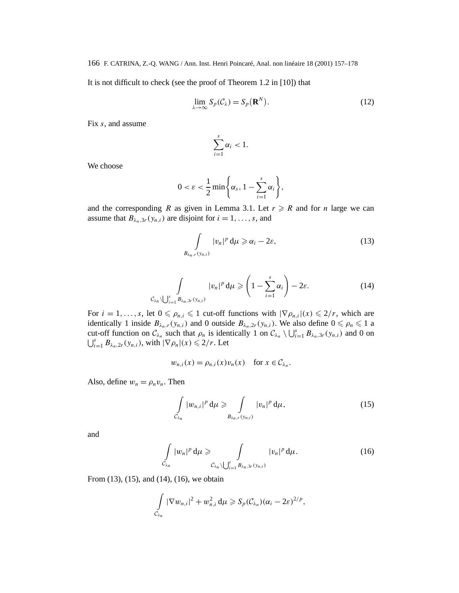It is not difficult to check (see the proof of Theorem 1.2 in [10]) that

$$
\lim_{\lambda \to \infty} S_p(C_{\lambda}) = S_p(\mathbf{R}^N). \tag{12}
$$

Fix *s*, and assume

$$
\sum_{i=1}^s \alpha_i < 1.
$$

We choose

$$
0 < \varepsilon < \frac{1}{2} \min \left\{ \alpha_s, 1 - \sum_{i=1}^s \alpha_i \right\},\
$$

and the corresponding *R* as given in Lemma 3.1. Let  $r \ge R$  and for *n* large we can assume that  $B_{\lambda_n,3r}(y_{n,i})$  are disjoint for  $i=1,\ldots,s$ , and

$$
\int_{B_{\lambda_n,r}(y_{n,i})} |v_n|^p \, \mathrm{d}\mu \geqslant \alpha_i - 2\varepsilon,\tag{13}
$$

$$
\int_{\mathcal{C}_{\lambda_n}\setminus\bigcup_{i=1}^s B_{\lambda_n,3r}(y_{n,i})} |v_n|^p \, \mathrm{d}\mu \geqslant \left(1 - \sum_{i=1}^s \alpha_i\right) - 2\varepsilon. \tag{14}
$$

For  $i = 1, \ldots, s$ , let  $0 \le \rho_{n,i} \le 1$  cut-off functions with  $|\nabla \rho_{n,i}|(x) \le 2/r$ , which are identically 1 inside  $B_{\lambda_n,r}(y_{n,i})$  and 0 outside  $B_{\lambda_n,2r}(y_{n,i})$ . We also define  $0 \le \rho_n \le 1$  a cut-off function on  $C_{\lambda_n}$  such that  $\rho_n$  is identically 1 on  $C_{\lambda_n} \setminus \bigcup_{i=1}^s B_{\lambda_n,3r}(y_{n,i})$  and 0 on  $\bigcup_{i=1}^s B_{\lambda_n, 2r}(y_{n,i}),$  with  $|\nabla \rho_n|(x) \leq 2/r$ . Let

$$
w_{n,i}(x) = \rho_{n,i}(x)v_n(x) \quad \text{for } x \in \mathcal{C}_{\lambda_n}.
$$

Also, define  $w_n = \rho_n v_n$ . Then

$$
\int\limits_{C_{\lambda_n}} |w_{n,i}|^p \, \mathrm{d}\mu \geqslant \int\limits_{B_{\lambda_n,r}(y_{n,i})} |v_n|^p \, \mathrm{d}\mu,\tag{15}
$$

and

$$
\int_{\mathcal{C}_{\lambda_n}} |w_n|^p \, \mathrm{d}\mu \geqslant \int_{\mathcal{C}_{\lambda_n} \setminus \bigcup_{i=1}^s B_{\lambda_n,3r}(y_{n,i})} |v_n|^p \, \mathrm{d}\mu. \tag{16}
$$

From (13), (15), and (14), (16), we obtain

$$
\int\limits_{C_{\lambda_n}} |\nabla w_{n,i}|^2 + w_{n,i}^2 d\mu \geqslant S_p(C_{\lambda_n})(\alpha_i - 2\varepsilon)^{2/p},
$$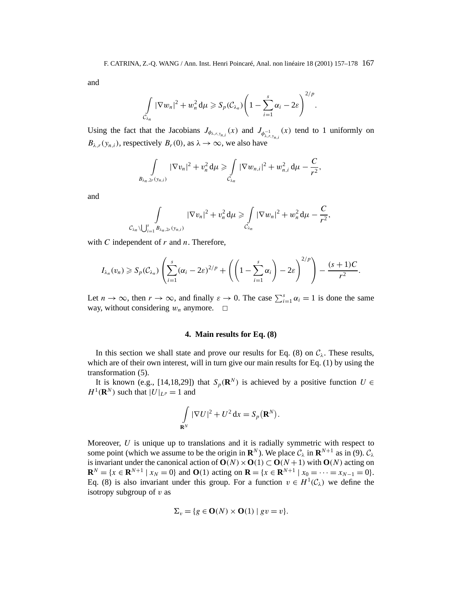and

$$
\int\limits_{C_{\lambda_n}} |\nabla w_n|^2 + w_n^2 \, \mathrm{d}\mu \geqslant S_p(C_{\lambda_n}) \Bigg(1 - \sum_{i=1}^s \alpha_i - 2\varepsilon\Bigg)^{2/p}.
$$

Using the fact that the Jacobians  $J_{\phi_{\lambda,r,y_{n,i}}}(x)$  and  $J_{\phi_{\lambda,r,y_{n,i}}^{-1}}(x)$  tend to 1 uniformly on  $B_{\lambda,r}(y_{n,i})$ , respectively  $B_r(0)$ , as  $\lambda \to \infty$ , we also have

$$
\int\limits_{B_{\lambda_n,2r}(y_{n,i})} |\nabla v_n|^2 + v_n^2 d\mu \geqslant \int\limits_{\mathcal{C}_{\lambda_n}} |\nabla w_{n,i}|^2 + w_{n,i}^2 d\mu - \frac{C}{r^2},
$$

and

$$
\int\limits_{\mathcal{C}_{\lambda_n}\setminus\bigcup_{i=1}^s B_{\lambda_n,2r}(y_{n,i})} |\nabla v_n|^2 + v_n^2 d\mu \geqslant \int\limits_{\mathcal{C}_{\lambda_n}} |\nabla w_n|^2 + w_n^2 d\mu - \frac{C}{r^2},
$$

with *C* independent of *r* and *n*. Therefore,

$$
I_{\lambda_n}(v_n) \geqslant S_p(\mathcal{C}_{\lambda_n})\left(\sum_{i=1}^s (\alpha_i-2\varepsilon)^{2/p} + \left(\left(1-\sum_{i=1}^s \alpha_i\right)-2\varepsilon\right)^{2/p}\right)-\frac{(s+1)C}{r^2}.
$$

Let  $n \to \infty$ , then  $r \to \infty$ , and finally  $\varepsilon \to 0$ . The case  $\sum_{i=1}^{s} \alpha_i = 1$  is done the same way, without considering  $w_n$  anymore.  $\Box$ 

# **4. Main results for Eq. (8)**

In this section we shall state and prove our results for Eq. (8) on  $C_\lambda$ . These results, which are of their own interest, will in turn give our main results for Eq. (1) by using the transformation (5).

It is known (e.g., [14,18,29]) that  $S_p(\mathbf{R}^N)$  is achieved by a positive function  $U \in$  $H^1(\mathbf{R}^N)$  such that  $|U|_{L^p} = 1$  and

$$
\int_{\mathbf{R}^N} |\nabla U|^2 + U^2 \, \mathrm{d}x = S_p(\mathbf{R}^N).
$$

Moreover, *U* is unique up to translations and it is radially symmetric with respect to some point (which we assume to be the origin in  $\mathbb{R}^N$ ). We place  $\mathcal{C}_\lambda$  in  $\mathbb{R}^{N+1}$  as in (9).  $\mathcal{C}_\lambda$ is invariant under the canonical action of  $O(N) \times O(1) \subset O(N+1)$  with  $O(N)$  acting on  $\mathbf{R}^{N} = \{x \in \mathbf{R}^{N+1} \mid x_N = 0\}$  and  $\mathbf{O}(1)$  acting on  $\mathbf{R} = \{x \in \mathbf{R}^{N+1} \mid x_0 = \cdots = x_{N-1} = 0\}.$ Eq. (8) is also invariant under this group. For a function  $v \in H^1(\mathcal{C}_\lambda)$  we define the isotropy subgroup of *v* as

$$
\Sigma_v = \{ g \in \mathbf{O}(N) \times \mathbf{O}(1) \mid gv = v \}.
$$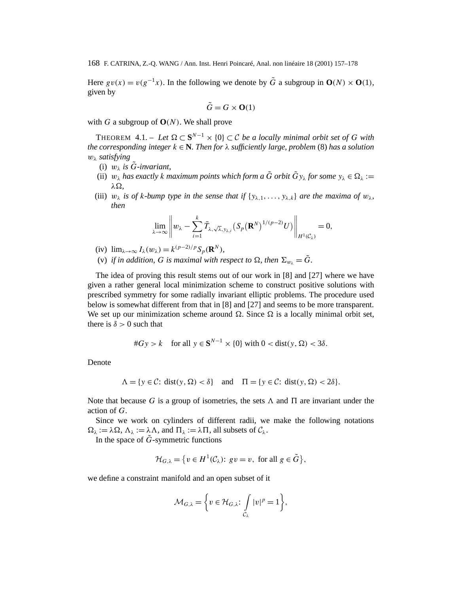Here  $gv(x) = v(g^{-1}x)$ . In the following we denote by  $\tilde{G}$  a subgroup in  $O(N) \times O(1)$ , given by

$$
\tilde{G} = G \times \mathbf{O}(1)
$$

with *G* a subgroup of  $O(N)$ . We shall prove

THEOREM 4.1. – Let  $\Omega \subset \mathbf{S}^{N-1} \times \{0\} \subset \mathcal{C}$  be a locally minimal orbit set of G with *the corresponding integer k* ∈ **N***. Then for λ sufficiently large, problem* (8) *has a solution wλ satisfying*

- (i)  $w_{\lambda}$  *is*  $\tilde{G}$ *-invariant,*
- (ii)  $w_{\lambda}$  *has exactly k maximum points which form a*  $\tilde{G}$  *orbit*  $\tilde{G}y_{\lambda}$  *for some*  $y_{\lambda} \in \Omega_{\lambda}$  := *λ,*
- (iii)  $w_{\lambda}$  *is of k-bump type in the sense that if*  $\{y_{\lambda,1},...,y_{\lambda,k}\}\$  *are the maxima of*  $w_{\lambda}$ *, then*

$$
\lim_{\lambda \to \infty} \left\| w_{\lambda} - \sum_{i=1}^k \overline{T}_{\lambda, \sqrt{\lambda}, y_{\lambda, i}} (S_p(\mathbf{R}^N)^{1/(p-2)} U) \right\|_{H^1(\mathcal{C}_\lambda)} = 0,
$$

- (iv)  $\lim_{\lambda \to \infty} I_{\lambda}(w_{\lambda}) = k^{(p-2)/p} S_p(\mathbf{R}^N)$ ,
- (v) *if in addition, G is maximal with respect to*  $\Omega$ *, then*  $\Sigma_{w_1} = \tilde{G}$ *.*

The idea of proving this result stems out of our work in [8] and [27] where we have given a rather general local minimization scheme to construct positive solutions with prescribed symmetry for some radially invariant elliptic problems. The procedure used below is somewhat different from that in [8] and [27] and seems to be more transparent. We set up our minimization scheme around  $\Omega$ . Since  $\Omega$  is a locally minimal orbit set, there is  $\delta > 0$  such that

$$
\#Gy > k \quad \text{for all } y \in \mathbf{S}^{N-1} \times \{0\} \text{ with } 0 < \text{dist}(y, \Omega) < 3\delta.
$$

Denote

$$
\Lambda = \{ y \in \mathcal{C} : \text{dist}(y, \Omega) < \delta \} \quad \text{and} \quad \Pi = \{ y \in \mathcal{C} : \text{dist}(y, \Omega) < 2\delta \}.
$$

Note that because G is a group of isometries, the sets  $\Lambda$  and  $\Pi$  are invariant under the action of *G*.

Since we work on cylinders of different radii, we make the following notations  $\Omega_{\lambda} := \lambda \Omega$ ,  $\Lambda_{\lambda} := \lambda \Lambda$ , and  $\Pi_{\lambda} := \lambda \Pi$ , all subsets of  $\mathcal{C}_{\lambda}$ .

In the space of  $\tilde{G}$ -symmetric functions

$$
\mathcal{H}_{G,\lambda} = \{ v \in H^1(\mathcal{C}_\lambda): \, gv = v, \text{ for all } g \in \tilde{G} \},
$$

we define a constraint manifold and an open subset of it

$$
\mathcal{M}_{G,\lambda} = \bigg\{ v \in \mathcal{H}_{G,\lambda} \colon \int\limits_{\mathcal{C}_{\lambda}} |v|^p = 1 \bigg\},\
$$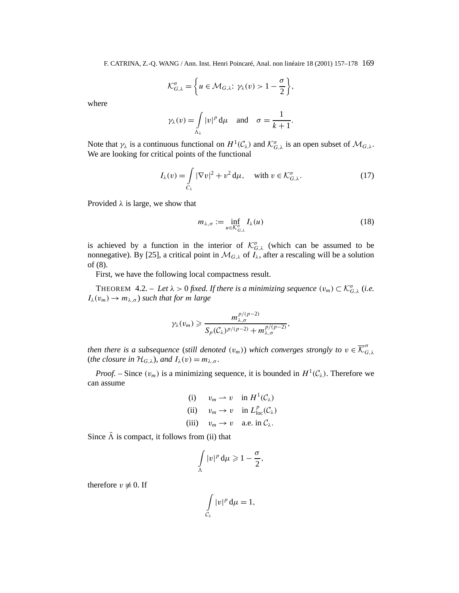$$
\mathcal{K}_{G,\lambda}^{\sigma} = \left\{ u \in \mathcal{M}_{G,\lambda}: \gamma_{\lambda}(v) > 1 - \frac{\sigma}{2} \right\},\
$$

where

$$
\gamma_{\lambda}(v) = \int_{\Lambda_{\lambda}} |v|^p d\mu
$$
 and  $\sigma = \frac{1}{k+1}$ .

Note that  $\gamma_{\lambda}$  is a continuous functional on  $H^1(\mathcal{C}_{\lambda})$  and  $\mathcal{K}_{G,\lambda}^{\sigma}$  is an open subset of  $\mathcal{M}_{G,\lambda}$ . We are looking for critical points of the functional

$$
I_{\lambda}(v) = \int\limits_{C_{\lambda}} |\nabla v|^2 + v^2 d\mu, \quad \text{with } v \in \mathcal{K}_{G,\lambda}^{\sigma}.
$$
 (17)

Provided  $\lambda$  is large, we show that

$$
m_{\lambda,\sigma} := \inf_{u \in \mathcal{K}_{G,\lambda}^{\sigma}} I_{\lambda}(u) \tag{18}
$$

is achieved by a function in the interior of  $\mathcal{K}_{G,\lambda}^{\sigma}$  (which can be assumed to be nonnegative). By [25], a critical point in  $\mathcal{M}_{G,\lambda}$  of  $I_{\lambda}$ , after a rescaling will be a solution of (8).

First, we have the following local compactness result.

THEOREM  $4.2. - Let \lambda > 0$  *fixed. If there is a minimizing sequence*  $(v_m) \subset \mathcal{K}_{G,\lambda}^{\sigma}$  *(i.e.*)  $I_{\lambda}(v_m) \rightarrow m_{\lambda,\sigma}$ ) *such that for m large* 

$$
\gamma_{\lambda}(v_m) \geq \frac{m_{\lambda,\sigma}^{p/(p-2)}}{S_p(\mathcal{C}_{\lambda})^{p/(p-2)} + m_{\lambda,\sigma}^{p/(p-2)}},
$$

*then there is a subsequence (still denoted*  $(v_m)$ *) which converges strongly to*  $v \in \overline{\mathcal{K}}_{G,\lambda}^{\sigma}$ (*the closure in*  $\mathcal{H}_{G,\lambda}$ *), and*  $I_{\lambda}(v) = m_{\lambda,\sigma}$ *.* 

*Proof.* – Since  $(v_m)$  is a minimizing sequence, it is bounded in  $H^1(\mathcal{C}_\lambda)$ . Therefore we can assume

(i) 
$$
v_m \to v
$$
 in  $H^1(\mathcal{C}_\lambda)$   
\n(ii)  $v_m \to v$  in  $L^p_{loc}(\mathcal{C}_\lambda)$   
\n(iii)  $v_m \to v$  a.e. in  $\mathcal{C}_\lambda$ .

Since  $\bar{\Lambda}$  is compact, it follows from (ii) that

$$
\int_{\Lambda} |v|^p \, \mathrm{d}\mu \geqslant 1 - \frac{\sigma}{2},
$$

therefore  $v \neq 0$ . If

$$
\int\limits_{C_\lambda} |v|^p \, \mathrm{d}\mu = 1,
$$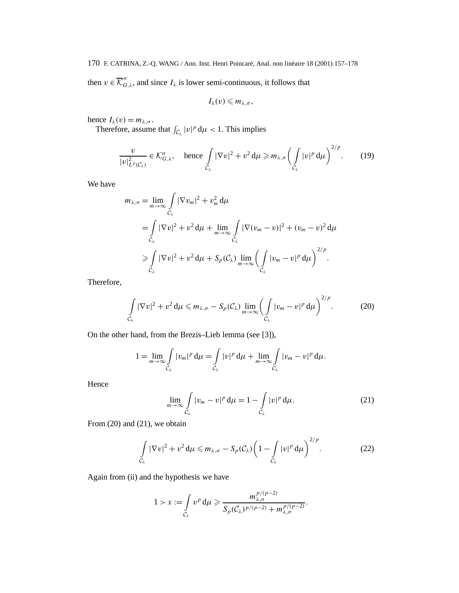170 F. CATRINA, Z.-Q. WANG / Ann. Inst. Henri Poincaré, Anal. non linéaire 18 (2001) 157–178 then  $v \in \overline{\mathcal{K}}_{G,\lambda}^{\sigma}$ , and since  $I_{\lambda}$  is lower semi-continuous, it follows that

$$
I_{\lambda}(v)\leqslant m_{\lambda,\sigma},
$$

hence  $I_{\lambda}(v) = m_{\lambda,\sigma}$ .

Therefore, assume that  $\int_{C_{\lambda}} |v|^p d\mu < 1$ . This implies

$$
\frac{v}{|v|_{L^p(C_\lambda)}^2} \in \mathcal{K}_{G,\lambda}^{\sigma}, \quad \text{hence } \int\limits_{C_\lambda} |\nabla v|^2 + v^2 \, \mathrm{d}\mu \geqslant m_{\lambda,\sigma} \left( \int\limits_{C_\lambda} |v|^p \, \mathrm{d}\mu \right)^{2/p} . \tag{19}
$$

We have

$$
m_{\lambda,\sigma} = \lim_{m \to \infty} \int_{C_{\lambda}} |\nabla v_m|^2 + v_m^2 d\mu
$$
  
=  $\int_{C_{\lambda}} |\nabla v|^2 + v^2 d\mu + \lim_{m \to \infty} \int_{C_{\lambda}} |\nabla (v_m - v)|^2 + (v_m - v)^2 d\mu$   
 $\geq \int_{C_{\lambda}} |\nabla v|^2 + v^2 d\mu + S_p(C_{\lambda}) \lim_{m \to \infty} \left( \int_{C_{\lambda}} |v_m - v|^p d\mu \right)^{2/p}.$ 

Therefore,

$$
\int_{C_{\lambda}} |\nabla v|^2 + v^2 d\mu \leqslant m_{\lambda,\sigma} - S_p(C_{\lambda}) \lim_{m \to \infty} \left( \int_{C_{\lambda}} |v_m - v|^p d\mu \right)^{2/p}.
$$
 (20)

On the other hand, from the Brezis–Lieb lemma (see [3]),

$$
1=\lim_{m\to\infty}\int\limits_{C_\lambda}|v_m|^p\,\mathrm{d}\mu=\int\limits_{C_\lambda}|v|^p\,\mathrm{d}\mu+\lim_{m\to\infty}\int\limits_{C_\lambda}|v_m-v|^p\,\mathrm{d}\mu.
$$

Hence

$$
\lim_{m \to \infty} \int\limits_{C_{\lambda}} |v_m - v|^p \, \mathrm{d}\mu = 1 - \int\limits_{C_{\lambda}} |v|^p \, \mathrm{d}\mu. \tag{21}
$$

*.*

From  $(20)$  and  $(21)$ , we obtain

$$
\int_{C_{\lambda}} |\nabla v|^2 + v^2 d\mu \leqslant m_{\lambda,\sigma} - S_p(C_{\lambda}) \bigg( 1 - \int_{C_{\lambda}} |v|^p d\mu \bigg)^{2/p}.
$$
\n(22)

Again from (ii) and the hypothesis we have

$$
1 > x := \int_{C_{\lambda}} v^p d\mu \ge \frac{m_{\lambda,\sigma}^{p/(p-2)}}{S_p(\mathcal{C}_{\lambda})^{p/(p-2)} + m_{\lambda,\sigma}^{p/(p-2)}}
$$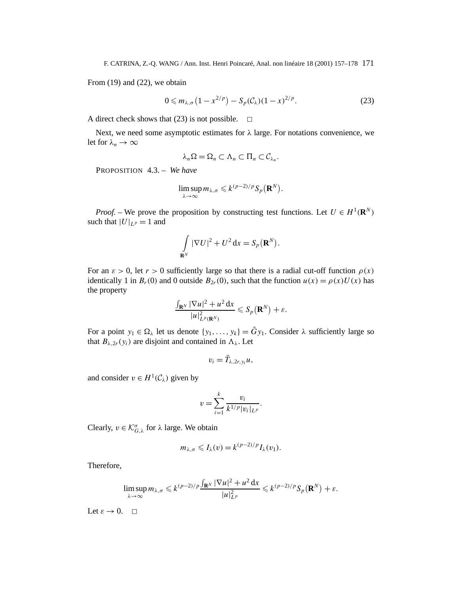From (19) and (22), we obtain

$$
0 \leqslant m_{\lambda,\sigma} \left(1 - x^{2/p}\right) - S_p(\mathcal{C}_\lambda)(1-x)^{2/p}.\tag{23}
$$

A direct check shows that (23) is not possible.  $\Box$ 

Next, we need some asymptotic estimates for *λ* large. For notations convenience, we let for  $\lambda_n \to \infty$ 

$$
\lambda_n\Omega=\Omega_n\subset\Lambda_n\subset\Pi_n\subset\mathcal{C}_{\lambda_n}.
$$

PROPOSITION 4.3. – *We have*

$$
\limsup_{\lambda \to \infty} m_{\lambda,\sigma} \leqslant k^{(p-2)/p} S_p(\mathbf{R}^N).
$$

*Proof.* – We prove the proposition by constructing test functions. Let  $U \in H^1(\mathbb{R}^N)$ such that  $|U|_{L^p} = 1$  and

$$
\int_{\mathbf{R}^N} |\nabla U|^2 + U^2 \, \mathrm{d}x = S_p(\mathbf{R}^N).
$$

For an  $\varepsilon > 0$ , let  $r > 0$  sufficiently large so that there is a radial cut-off function  $\rho(x)$ identically 1 in  $B_r(0)$  and 0 outside  $B_{2r}(0)$ , such that the function  $u(x) = \rho(x)U(x)$  has the property

$$
\frac{\int_{\mathbf{R}^N} |\nabla u|^2 + u^2 dx}{|u|_{L^p(\mathbf{R}^N)}^2} \leqslant S_p(\mathbf{R}^N) + \varepsilon.
$$

For a point  $y_1 \in \Omega_\lambda$  let us denote  $\{y_1, \ldots, y_k\} = \tilde{G}y_1$ . Consider  $\lambda$  sufficiently large so that  $B_{\lambda,2r}(y_i)$  are disjoint and contained in  $\Lambda_{\lambda}$ . Let

$$
v_i=\bar{T}_{\lambda,2r,y_i}u,
$$

and consider  $v \in H^1(\mathcal{C}_{\lambda})$  given by

$$
v = \sum_{i=1}^{k} \frac{v_i}{k^{1/p} |v_i|_{L^p}}.
$$

Clearly,  $v \in \mathcal{K}_{G,\lambda}^{\sigma}$  for  $\lambda$  large. We obtain

$$
m_{\lambda,\sigma}\leqslant I_{\lambda}(v)=k^{(p-2)/p}I_{\lambda}(v_1).
$$

Therefore,

$$
\limsup_{\lambda \to \infty} m_{\lambda,\sigma} \leqslant k^{(p-2)/p} \frac{\int_{\mathbf{R}^N} |\nabla u|^2 + u^2 \, dx}{|u|_{L^p}^2} \leqslant k^{(p-2)/p} S_p(\mathbf{R}^N) + \varepsilon.
$$

Let  $\varepsilon \to 0$ .  $\Box$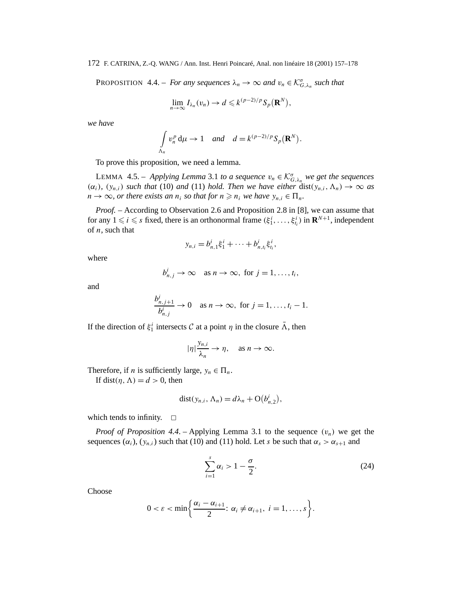PROPOSITION 4.4. – *For any sequences*  $\lambda_n \to \infty$  *and*  $v_n \in \mathcal{K}_{G,\lambda_n}^{\sigma}$  *such that* 

$$
\lim_{n\to\infty}I_{\lambda_n}(v_n)\to d\leqslant k^{(p-2)/p}S_p(\mathbf{R}^N),
$$

*we have*

$$
\int_{\Lambda_n} v_n^p \, \mathrm{d}\mu \to 1 \quad \text{and} \quad d = k^{(p-2)/p} S_p(\mathbf{R}^N).
$$

To prove this proposition, we need a lemma.

LEMMA 4.5. – *Applying Lemma* 3.1 *to a sequence*  $v_n \in \mathcal{K}_{G,\lambda_n}^{\sigma}$  we get the sequences  $(\alpha_i)$ *,*  $(y_{n,i})$  *such that* (10) *and* (11) *hold. Then we have either* dist $(y_{n,i}, \Lambda_n) \to \infty$  *as*  $n \to \infty$ , or there exists an  $n_i$  so that for  $n \geq n_i$  we have  $y_{n,i} \in \Pi_n$ .

*Proof. –* According to Observation 2.6 and Proposition 2.8 in [8], we can assume that for any  $1 \leq i \leq s$  fixed, there is an orthonormal frame  $(\xi_1^i, \ldots, \xi_{t_i}^i)$  in  $\mathbf{R}^{N+1}$ , independent of *n*, such that

$$
y_{n,i} = b_{n,1}^i \xi_1^i + \cdots + b_{n,t_i}^i \xi_{t_i}^i,
$$

where

$$
b_{n,j}^i \to \infty
$$
 as  $n \to \infty$ , for  $j = 1, ..., t_i$ ,

and

$$
\frac{b_{n,j+1}^i}{b_{n,j}^i} \to 0 \quad \text{as } n \to \infty, \text{ for } j = 1, \dots, t_i - 1.
$$

If the direction of  $\xi_1^i$  intersects C at a point  $\eta$  in the closure  $\overline{\Lambda}$ , then

$$
|\eta| \frac{y_{n,i}}{\lambda_n} \to \eta, \quad \text{as } n \to \infty.
$$

Therefore, if *n* is sufficiently large,  $y_n \in \Pi_n$ .

If dist $(\eta, \Lambda) = d > 0$ , then

$$
dist(y_{n,i}, \Lambda_n) = d\lambda_n + O(b_{n,2}^i),
$$

which tends to infinity.  $\square$ 

*Proof of Proposition 4.4.* – Applying Lemma 3.1 to the sequence  $(v_n)$  we get the sequences  $(\alpha_i)$ ,  $(y_{n,i})$  such that (10) and (11) hold. Let *s* be such that  $\alpha_s > \alpha_{s+1}$  and

$$
\sum_{i=1}^{s} \alpha_i > 1 - \frac{\sigma}{2}.
$$
\n(24)

Choose

$$
0 < \varepsilon < \min\left\{\frac{\alpha_i - \alpha_{i+1}}{2} : \alpha_i \neq \alpha_{i+1}, i = 1, \ldots, s\right\}.
$$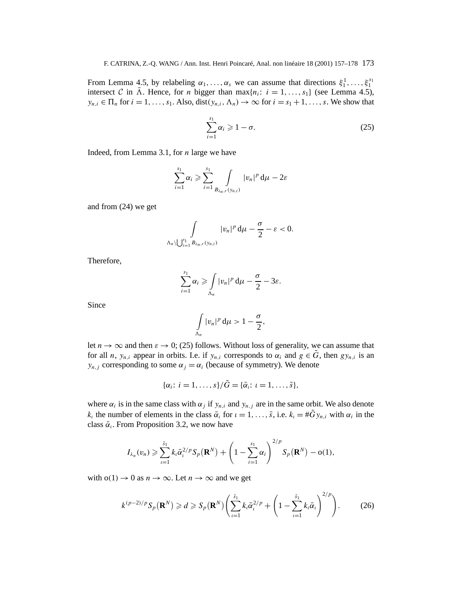From Lemma 4.5, by relabeling  $\alpha_1, \ldots, \alpha_s$  we can assume that directions  $\xi_1^1, \ldots, \xi_1^{s_1}$ intersect C in  $\bar{A}$ . Hence, for *n* bigger than max{*n<sub>i</sub>*: *i* = 1,..., *s*<sub>1</sub>} (see Lemma 4.5),  $y_{n,i} \in \Pi_n$  for  $i = 1, \ldots, s_1$ . Also, dist $(y_{n,i}, \Lambda_n) \to \infty$  for  $i = s_1 + 1, \ldots, s$ . We show that

$$
\sum_{i=1}^{s_1} \alpha_i \geqslant 1 - \sigma. \tag{25}
$$

Indeed, from Lemma 3.1, for *n* large we have

$$
\sum_{i=1}^{s_1} \alpha_i \geq \sum_{i=1}^{s_1} \int_{B_{\lambda_n, r}(y_{n,i})} |v_n|^p d\mu - 2\varepsilon
$$

and from (24) we get

$$
\int\limits_{\Lambda_n\setminus\bigcup_{i=1}^{s_1}B_{\lambda_n,r}(y_{n,i})}|v_n|^p\,\mathrm{d}\mu-\frac{\sigma}{2}-\varepsilon<0.
$$

Therefore,

$$
\sum_{i=1}^{s_1} \alpha_i \geqslant \int\limits_{\Lambda_n} |v_n|^p \, \mathrm{d}\mu - \frac{\sigma}{2} - 3\varepsilon.
$$

Since

$$
\int_{\Lambda_n} |v_n|^p \, \mathrm{d}\mu > 1 - \frac{\sigma}{2},
$$

let  $n \to \infty$  and then  $\varepsilon \to 0$ ; (25) follows. Without loss of generality, we can assume that for all *n*,  $y_{n,i}$  appear in orbits. I.e. if  $y_{n,i}$  corresponds to  $\alpha_i$  and  $g \in \tilde{G}$ , then  $gy_{n,i}$  is an *y<sub>n,j</sub>* corresponding to some  $\alpha_j = \alpha_j$  (because of symmetry). We denote

$$
\{\alpha_i\colon i=1,\ldots,s\}/\tilde{G}=\{\bar{\alpha}_i\colon i=1,\ldots,\bar{s}\},\
$$

where  $\alpha_i$  is in the same class with  $\alpha_j$  if  $y_{n,i}$  and  $y_{n,j}$  are in the same orbit. We also denote *k<sub>ι</sub>* the number of elements in the class  $\bar{\alpha}_i$  for  $\iota = 1, \ldots, \bar{s}$ , i.e.  $k_i = #Gy_{n,i}$  with  $\alpha_i$  in the class  $\bar{\alpha}$ . From Proposition 3.2, we now have

$$
I_{\lambda_n}(v_n) \geqslant \sum_{\iota=1}^{\bar{s}_1} k_{\iota} \bar{\alpha}_{\iota}^{2/p} S_p(\mathbf{R}^N) + \left(1 - \sum_{i=1}^{s_1} \alpha_i\right)^{2/p} S_p(\mathbf{R}^N) - o(1),
$$

with  $o(1) \rightarrow 0$  as  $n \rightarrow \infty$ . Let  $n \rightarrow \infty$  and we get

$$
k^{(p-2)/p}S_p(\mathbf{R}^N) \geq d \geqslant S_p(\mathbf{R}^N)\left(\sum_{i=1}^{\bar{s}_1}k_i\bar{\alpha}_i^{2/p} + \left(1 - \sum_{i=1}^{\bar{s}_1}k_i\bar{\alpha}_i\right)^{2/p}\right). \tag{26}
$$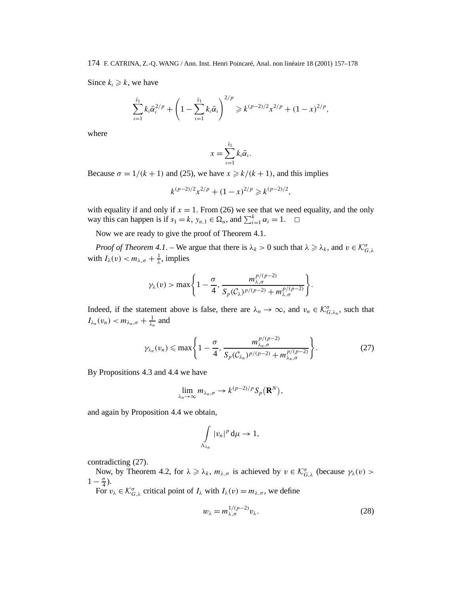Since  $k_i \geq k$ , we have

$$
\sum_{i=1}^{\bar{s}_1} k_i \bar{\alpha}_i^{2/p} + \left(1 - \sum_{i=1}^{\bar{s}_1} k_i \bar{\alpha}_i\right)^{2/p} \geq k^{(p-2)/2} x^{2/p} + (1-x)^{2/p},
$$

where

$$
x=\sum_{i=1}^{\bar{s}_1}k_i\bar{\alpha}_i.
$$

Because  $\sigma = 1/(k+1)$  and (25), we have  $x \ge k/(k+1)$ , and this implies

$$
k^{(p-2)/2}x^{2/p} + (1-x)^{2/p} \ge k^{(p-2)/2},
$$

with equality if and only if  $x = 1$ . From (26) we see that we need equality, and the only way this can happen is if  $s_1 = k$ ,  $y_{n,1} \in \Omega_n$ , and  $\sum_{i=1}^k \alpha_i = 1$ .  $\Box$ 

Now we are ready to give the proof of Theorem 4.1.

*Proof of Theorem 4.1*. – We argue that there is  $\lambda_k > 0$  such that  $\lambda \ge \lambda_k$ , and  $v \in \mathcal{K}_{G,\lambda}^{\sigma}$ with  $I_{\lambda}(v) < m_{\lambda,\sigma} + \frac{1}{\lambda}$ , implies

$$
\gamma_{\lambda}(v) > \max\left\{1 - \frac{\sigma}{4}, \frac{m_{\lambda,\sigma}^{p/(p-2)}}{S_p(\mathcal{C}_{\lambda})^{p/(p-2)} + m_{\lambda,\sigma}^{p/(p-2)}}\right\}.
$$

Indeed, if the statement above is false, there are  $\lambda_n \to \infty$ , and  $v_n \in \mathcal{K}_{G,\lambda_n}^{\sigma}$ , such that  $I_{\lambda_n}(v_n) < m_{\lambda_n,\sigma} + \frac{1}{\lambda_n}$  and

$$
\gamma_{\lambda_n}(v_n) \leqslant \max\left\{1-\frac{\sigma}{4}, \frac{m_{\lambda_n,\sigma}^{p/(p-2)}}{S_p(\mathcal{C}_{\lambda_n})^{p/(p-2)} + m_{\lambda_n,\sigma}^{p/(p-2)}}\right\}.
$$
 (27)

By Propositions 4.3 and 4.4 we have

$$
\lim_{\lambda_n\to\infty}m_{\lambda_n,\sigma}\to k^{(p-2)/p}S_p(\mathbf{R}^N),
$$

and again by Proposition 4.4 we obtain,

$$
\int\limits_{\Lambda_{\lambda_n}}|v_n|^p\,\mathrm{d}\mu\to 1,
$$

contradicting (27).

Now, by Theorem 4.2, for  $\lambda \ge \lambda_k$ ,  $m_{\lambda,\sigma}$  is achieved by  $v \in \mathcal{K}_{G,\lambda}^{\sigma}$  (because  $\gamma_{\lambda}(v)$ )  $1-\frac{\sigma}{4}$ ).

For  $v_{\lambda} \in \mathcal{K}_{G,\lambda}^{\sigma}$  critical point of  $I_{\lambda}$  with  $I_{\lambda}(v) = m_{\lambda,\sigma}$ , we define

$$
w_{\lambda} = m_{\lambda,\sigma}^{1/(p-2)} v_{\lambda}.
$$
 (28)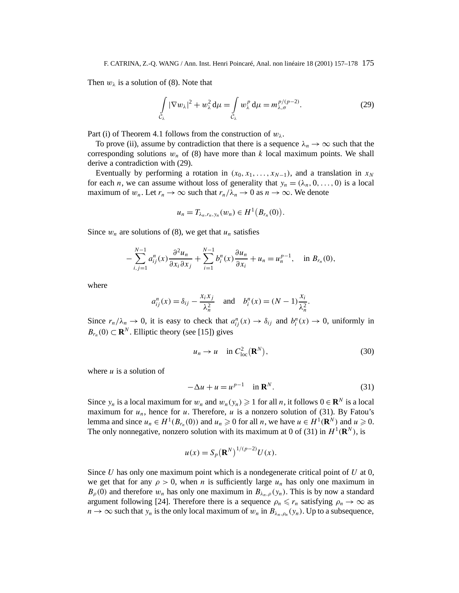Then  $w_{\lambda}$  is a solution of (8). Note that

$$
\int_{C_{\lambda}} |\nabla w_{\lambda}|^2 + w_{\lambda}^2 d\mu = \int_{C_{\lambda}} w_{\lambda}^p d\mu = m_{\lambda,\sigma}^{p/(p-2)}.
$$
\n(29)

Part (i) of Theorem 4.1 follows from the construction of  $w_{\lambda}$ .

To prove (ii), assume by contradiction that there is a sequence  $\lambda_n \to \infty$  such that the corresponding solutions  $w_n$  of (8) have more than  $k$  local maximum points. We shall derive a contradiction with (29).

Eventually by performing a rotation in  $(x_0, x_1, \ldots, x_{N-1})$ , and a translation in  $x_N$ for each *n*, we can assume without loss of generality that  $y_n = (\lambda_n, 0, \ldots, 0)$  is a local maximum of  $w_n$ . Let  $r_n \to \infty$  such that  $r_n/\lambda_n \to 0$  as  $n \to \infty$ . We denote

$$
u_n = T_{\lambda_n, r_n, y_n}(w_n) \in H^1(B_{r_n}(0)).
$$

Since  $w_n$  are solutions of (8), we get that  $u_n$  satisfies

$$
-\sum_{i,j=1}^{N-1}a_{ij}^n(x)\frac{\partial^2 u_n}{\partial x_i \partial x_j} + \sum_{i=1}^{N-1}b_i^n(x)\frac{\partial u_n}{\partial x_i} + u_n = u_n^{p-1}, \text{ in } B_{r_n}(0),
$$

where

$$
a_{ij}^n(x) = \delta_{ij} - \frac{x_i x_j}{\lambda_n^2} \quad \text{and} \quad b_i^n(x) = (N - 1)\frac{x_i}{\lambda_n^2}.
$$

Since  $r_n/\lambda_n \to 0$ , it is easy to check that  $a_{ij}^n(x) \to \delta_{ij}$  and  $b_i^n(x) \to 0$ , uniformly in *B<sub>rn</sub>* (0) ⊂ **R**<sup>*N*</sup>. Elliptic theory (see [15]) gives

$$
u_n \to u \quad \text{in } C^2_{\text{loc}}(\mathbf{R}^N),\tag{30}
$$

where *u* is a solution of

$$
-\Delta u + u = u^{p-1} \quad \text{in } \mathbf{R}^N. \tag{31}
$$

Since  $y_n$  is a local maximum for  $w_n$  and  $w_n(y_n) \ge 1$  for all *n*, it follows  $0 \in \mathbb{R}^N$  is a local maximum for  $u_n$ , hence for *u*. Therefore, *u* is a nonzero solution of (31). By Fatou's lemma and since  $u_n \in H^1(B_{r_n}(0))$  and  $u_n \ge 0$  for all *n*, we have  $u \in H^1(\mathbf{R}^N)$  and  $u \ge 0$ . The only nonnegative, nonzero solution with its maximum at 0 of (31) in  $H^1(\mathbb{R}^N)$ , is

$$
u(x) = S_p(\mathbf{R}^N)^{1/(p-2)}U(x).
$$

Since *U* has only one maximum point which is a nondegenerate critical point of *U* at 0, we get that for any  $\rho > 0$ , when *n* is sufficiently large  $u_n$  has only one maximum in  $B_{\rho}(0)$  and therefore  $w_n$  has only one maximum in  $B_{\lambda_n,\rho}(y_n)$ . This is by now a standard argument following [24]. Therefore there is a sequence  $\rho_n \leq r_n$  satisfying  $\rho_n \to \infty$  as  $n \to \infty$  such that  $y_n$  is the only local maximum of  $w_n$  in  $B_{\lambda_n, \rho_n}(y_n)$ . Up to a subsequence,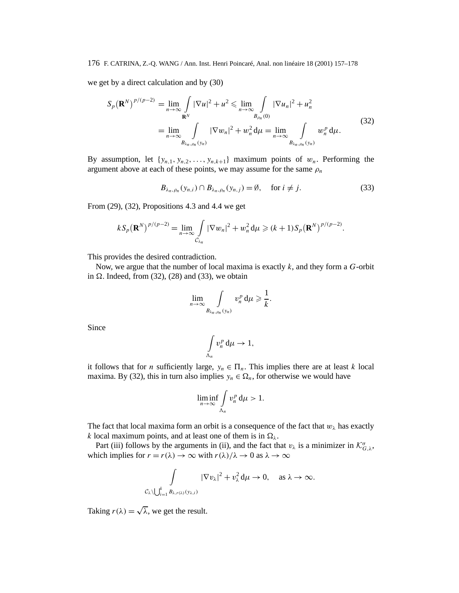we get by a direct calculation and by (30)

$$
S_p(\mathbf{R}^N)^{p/(p-2)} = \lim_{n \to \infty} \int_{\mathbf{R}^N} |\nabla u|^2 + u^2 \le \lim_{n \to \infty} \int_{B_{\rho_n}(0)} |\nabla u_n|^2 + u_n^2
$$
  
= 
$$
\lim_{n \to \infty} \int_{B_{\lambda_n,\rho_n}(y_n)} |\nabla w_n|^2 + w_n^2 d\mu = \lim_{n \to \infty} \int_{B_{\lambda_n,\rho_n}(y_n)} w_n^p d\mu.
$$
 (32)

By assumption, let  $\{y_{n,1}, y_{n,2}, \ldots, y_{n,k+1}\}$  maximum points of  $w_n$ . Performing the argument above at each of these points, we may assume for the same  $\rho_n$ 

$$
B_{\lambda_n,\rho_n}(y_{n,i}) \cap B_{\lambda_n,\rho_n}(y_{n,j}) = \emptyset, \quad \text{for } i \neq j.
$$
 (33)

From (29), (32), Propositions 4.3 and 4.4 we get

$$
kS_p(\mathbf{R}^N)^{p/(p-2)} = \lim_{n \to \infty} \int_{C_{\lambda_n}} |\nabla w_n|^2 + w_n^2 d\mu \ge (k+1) S_p(\mathbf{R}^N)^{p/(p-2)}.
$$

This provides the desired contradiction.

Now, we argue that the number of local maxima is exactly *k*, and they form a *G*-orbit in  $\Omega$ . Indeed, from (32), (28) and (33), we obtain

$$
\lim_{n\to\infty}\int\limits_{B_{\lambda_n,\rho_n}(y_n)}v_n^p\,\mathrm{d}\mu\geqslant\frac{1}{k}.
$$

Since

$$
\int\limits_{\Lambda_n} v_n^p \, \mathrm{d}\mu \to 1,
$$

it follows that for *n* sufficiently large,  $y_n \in \Pi_n$ . This implies there are at least *k* local maxima. By (32), this in turn also implies  $y_n \in \Omega_n$ , for otherwise we would have

$$
\liminf_{n\to\infty}\int\limits_{\Lambda_n}v_n^p\,\mathrm{d}\mu>1.
$$

The fact that local maxima form an orbit is a consequence of the fact that  $w_\lambda$  has exactly *k* local maximum points, and at least one of them is in  $\Omega_{\lambda}$ .

Part (iii) follows by the arguments in (ii), and the fact that  $v_\lambda$  is a minimizer in  $\mathcal{K}_{G,\lambda}^{\sigma}$ , which implies for  $r = r(\lambda) \rightarrow \infty$  with  $r(\lambda)/\lambda \rightarrow 0$  as  $\lambda \rightarrow \infty$ 

$$
\int\limits_{C_\lambda\setminus\bigcup_{i=1}^k B_{\lambda,r(\lambda)}(y_{\lambda,i})} |\nabla v_\lambda|^2 + v_\lambda^2 d\mu \to 0, \quad \text{as } \lambda \to \infty.
$$

Taking  $r(\lambda) = \sqrt{\lambda}$ , we get the result.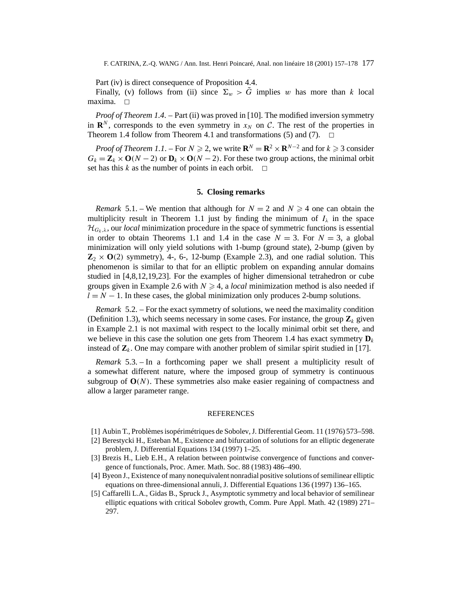Part (iv) is direct consequence of Proposition 4.4.

Finally, (v) follows from (ii) since  $\Sigma_w > \tilde{G}$  implies *w* has more than *k* local maxima.  $\Box$ 

*Proof of Theorem 1.4*. – Part (ii) was proved in [10]. The modified inversion symmetry in **R**<sup>*N*</sup>, corresponds to the even symmetry in  $x_N$  on C. The rest of the properties in Theorem 1.4 follow from Theorem 4.1 and transformations (5) and (7) Theorem 1.4 follow from Theorem 4.1 and transformations  $(5)$  and  $(7)$ .

*Proof of Theorem 1.1.* – For  $N \ge 2$ , we write  $\mathbf{R}^{N} = \mathbf{R}^{2} \times \mathbf{R}^{N-2}$  and for  $k \ge 3$  consider  $G_k = \mathbf{Z}_k \times \mathbf{O}(N-2)$  or  $\mathbf{D}_k \times \mathbf{O}(N-2)$ . For these two group actions, the minimal orbit set has this  $k$  as the number of points in each orbit.  $\Box$ 

# **5. Closing remarks**

*Remark* 5.1. – We mention that although for  $N = 2$  and  $N \ge 4$  one can obtain the multiplicity result in Theorem 1.1 just by finding the minimum of  $I_{\lambda}$  in the space  $\mathcal{H}_{G_k,\lambda}$ , our *local* minimization procedure in the space of symmetric functions is essential in order to obtain Theorems 1.1 and 1.4 in the case  $N = 3$ . For  $N = 3$ , a global minimization will only yield solutions with 1-bump (ground state), 2-bump (given by  $\mathbb{Z}_2 \times \mathbb{O}(2)$  symmetry), 4-, 6-, 12-bump (Example 2.3), and one radial solution. This phenomenon is similar to that for an elliptic problem on expanding annular domains studied in [4,8,12,19,23]. For the examples of higher dimensional tetrahedron or cube groups given in Example 2.6 with  $N \geq 4$ , a *local* minimization method is also needed if  $l = N - 1$ . In these cases, the global minimization only produces 2-bump solutions.

*Remark* 5.2. – For the exact symmetry of solutions, we need the maximality condition (Definition 1.3), which seems necessary in some cases. For instance, the group  $\mathbf{Z}_k$  given in Example 2.1 is not maximal with respect to the locally minimal orbit set there, and we believe in this case the solution one gets from Theorem 1.4 has exact symmetry  $D_k$ instead of  $\mathbf{Z}_k$ . One may compare with another problem of similar spirit studied in [17].

*Remark* 5.3. – In a forthcoming paper we shall present a multiplicity result of a somewhat different nature, where the imposed group of symmetry is continuous subgroup of  $O(N)$ . These symmetries also make easier regaining of compactness and allow a larger parameter range.

#### **REFERENCES**

- [1] Aubin T., Problèmes isopérimétriques de Sobolev, J. Differential Geom. 11 (1976) 573–598.
- [2] Berestycki H., Esteban M., Existence and bifurcation of solutions for an elliptic degenerate problem, J. Differential Equations 134 (1997) 1–25.
- [3] Brezis H., Lieb E.H., A relation between pointwise convergence of functions and convergence of functionals, Proc. Amer. Math. Soc. 88 (1983) 486–490.
- [4] Byeon J., Existence of many nonequivalent nonradial positive solutions of semilinear elliptic equations on three-dimensional annuli, J. Differential Equations 136 (1997) 136–165.
- [5] Caffarelli L.A., Gidas B., Spruck J., Asymptotic symmetry and local behavior of semilinear elliptic equations with critical Sobolev growth, Comm. Pure Appl. Math. 42 (1989) 271– 297.